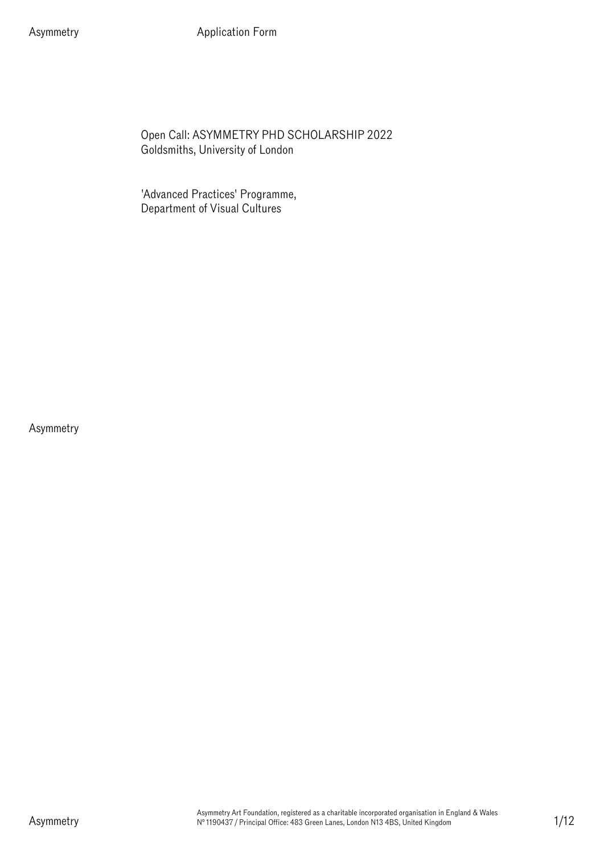Asymmetry **Application Form** 

Open Call: ASYMMETRY PHD SCHOLARSHIP 2022 Goldsmiths, University of London

'Advanced Practices' Programme, Department of Visual Cultures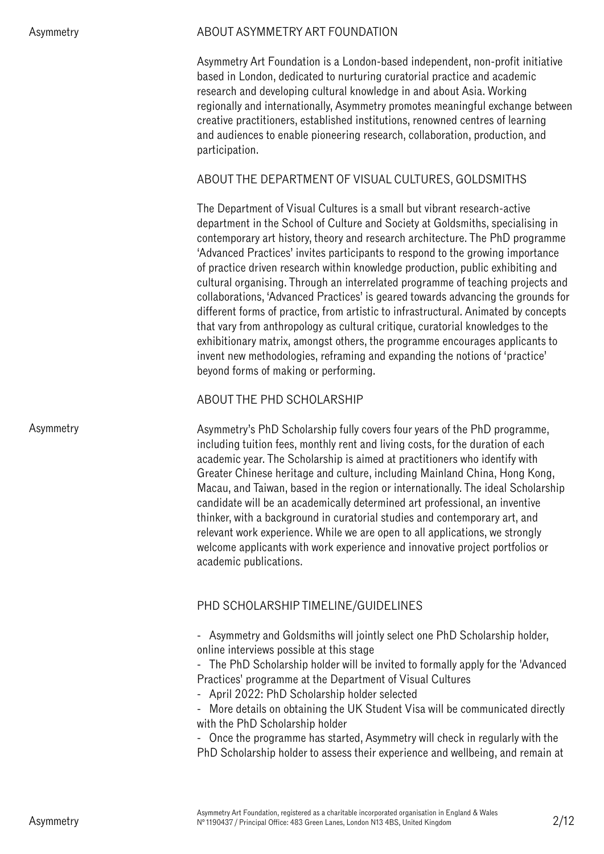### ABOUT ASYMMETRY ART FOUNDATION

Asymmetry Art Foundation is a London-based independent, non-profit initiative based in London, dedicated to nurturing curatorial practice and academic research and developing cultural knowledge in and about Asia. Working regionally and internationally, Asymmetry promotes meaningful exchange between creative practitioners, established institutions, renowned centres of learning and audiences to enable pioneering research, collaboration, production, and participation.

## ABOUT THE DEPARTMENT OF VISUAL CULTURES, GOLDSMITHS

The Department of Visual Cultures is a small but vibrant research-active department in the School of Culture and Society at Goldsmiths, specialising in contemporary art history, theory and research architecture. The PhD programme 'Advanced Practices' invites participants to respond to the growing importance of practice driven research within knowledge production, public exhibiting and cultural organising. Through an interrelated programme of teaching projects and collaborations, 'Advanced Practices' is geared towards advancing the grounds for different forms of practice, from artistic to infrastructural. Animated by concepts that vary from anthropology as cultural critique, curatorial knowledges to the exhibitionary matrix, amongst others, the programme encourages applicants to invent new methodologies, reframing and expanding the notions of 'practice' beyond forms of making or performing.

## ABOUT THE PHD SCHOLARSHIP

Asymmetry's PhD Scholarship fully covers four years of the PhD programme, including tuition fees, monthly rent and living costs, for the duration of each academic year. The Scholarship is aimed at practitioners who identify with Greater Chinese heritage and culture, including Mainland China, Hong Kong, Macau, and Taiwan, based in the region or internationally. The ideal Scholarship candidate will be an academically determined art professional, an inventive thinker, with a background in curatorial studies and contemporary art, and relevant work experience. While we are open to all applications, we strongly welcome applicants with work experience and innovative project portfolios or academic publications.

# PHD SCHOLARSHIP TIMELINE/GUIDELINES

- Asymmetry and Goldsmiths will jointly select one PhD Scholarship holder, online interviews possible at this stage

- The PhD Scholarship holder will be invited to formally apply for the 'Advanced Practices' programme at the Department of Visual Cultures

- April 2022: PhD Scholarship holder selected

- More details on obtaining the UK Student Visa will be communicated directly with the PhD Scholarship holder

- Once the programme has started, Asymmetry will check in regularly with the PhD Scholarship holder to assess their experience and wellbeing, and remain at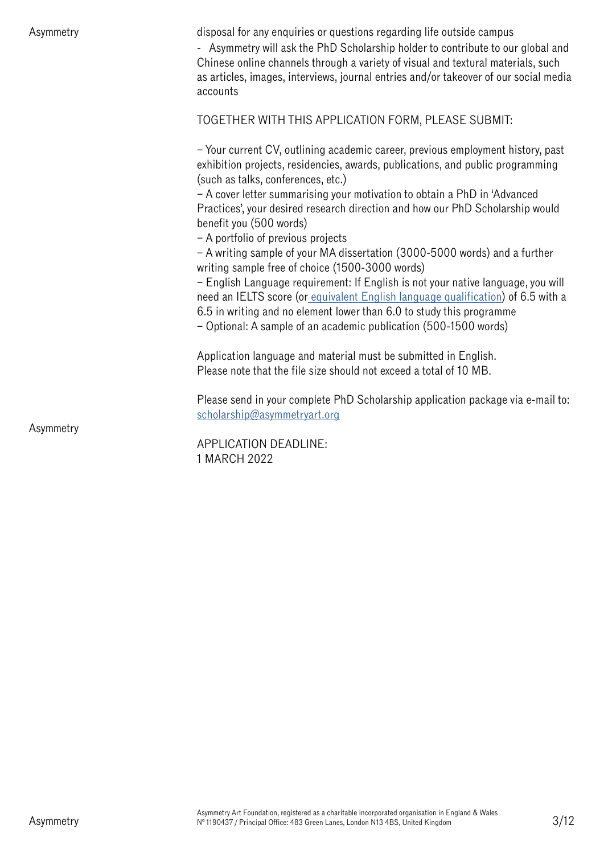| Asymmetry | disposal for any enquiries or questions regarding life outside campus<br>- Asymmetry will ask the PhD Scholarship holder to contribute to our global and<br>Chinese online channels through a variety of visual and textural materials, such<br>as articles, images, interviews, journal entries and/or takeover of our social media<br>accounts |
|-----------|--------------------------------------------------------------------------------------------------------------------------------------------------------------------------------------------------------------------------------------------------------------------------------------------------------------------------------------------------|
|           | TOGETHER WITH THIS APPLICATION FORM, PLEASE SUBMIT:                                                                                                                                                                                                                                                                                              |
|           | - Your current CV, outlining academic career, previous employment history, past<br>exhibition projects, residencies, awards, publications, and public programming<br>(such as talks, conferences, etc.)                                                                                                                                          |
|           | - A cover letter summarising your motivation to obtain a PhD in 'Advanced<br>Practices', your desired research direction and how our PhD Scholarship would<br>benefit you (500 words)<br>- A portfolio of previous projects                                                                                                                      |
|           | - A writing sample of your MA dissertation (3000-5000 words) and a further<br>writing sample free of choice (1500-3000 words)                                                                                                                                                                                                                    |
|           | - English Language requirement: If English is not your native language, you will<br>need an IELTS score (or equivalent English language qualification) of 6.5 with a<br>6.5 in writing and no element lower than 6.0 to study this programme<br>- Optional: A sample of an academic publication (500-1500 words)                                 |
|           | Application language and material must be submitted in English.<br>Please note that the file size should not exceed a total of 10 MB.                                                                                                                                                                                                            |
|           | Please send in your complete PhD Scholarship application package via e-mail to:<br>scholarship@asymmetryart.org                                                                                                                                                                                                                                  |
| Asymmetry | APPLICATION DEADLINE:<br>1 MARCH 2022                                                                                                                                                                                                                                                                                                            |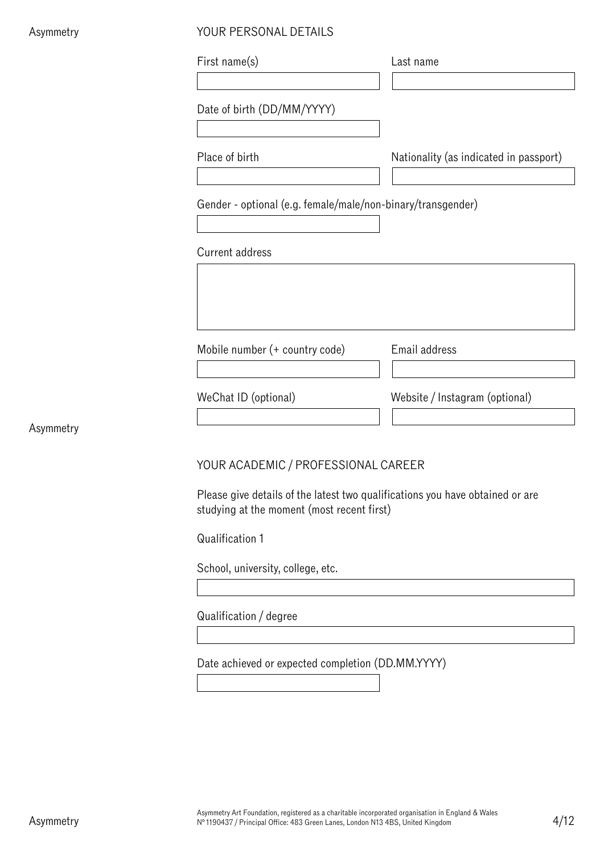| Asymmetry | YOUR PERSONAL DETAILS                                       |                                        |  |
|-----------|-------------------------------------------------------------|----------------------------------------|--|
|           | First name(s)                                               | Last name                              |  |
|           | Date of birth (DD/MM/YYYY)                                  |                                        |  |
|           | Place of birth                                              | Nationality (as indicated in passport) |  |
|           | Gender - optional (e.g. female/male/non-binary/transgender) |                                        |  |
|           | Current address                                             |                                        |  |
|           |                                                             |                                        |  |
|           | Mobile number (+ country code)                              | Email address                          |  |
|           | WeChat ID (optional)                                        | Website / Instagram (optional)         |  |
| Asymmetry | YOUR ACADEMIC / PROFESSIONAL CAREER                         |                                        |  |

Please give details of the latest two qualifications you have obtained or are studying at the moment (most recent first)

Qualification 1

School, university, college, etc.

Qualification / degree

Date achieved or expected completion (DD.MM.YYYY)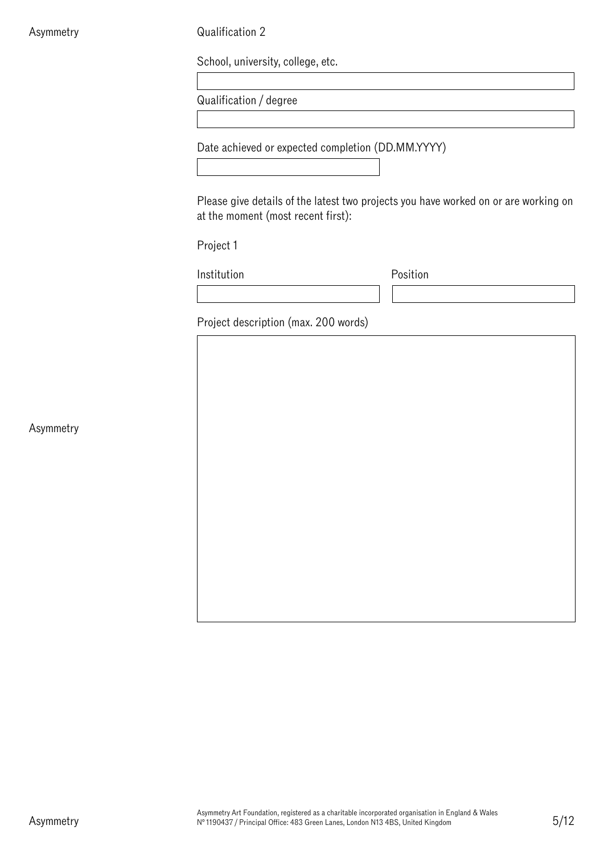Qualification 2

School, university, college, etc.

Qualification / degree

Date achieved or expected completion (DD.MM.YYYY)

Please give details of the latest two projects you have worked on or are working on at the moment (most recent first):

Project 1

Institution **Position** 

Project description (max. 200 words)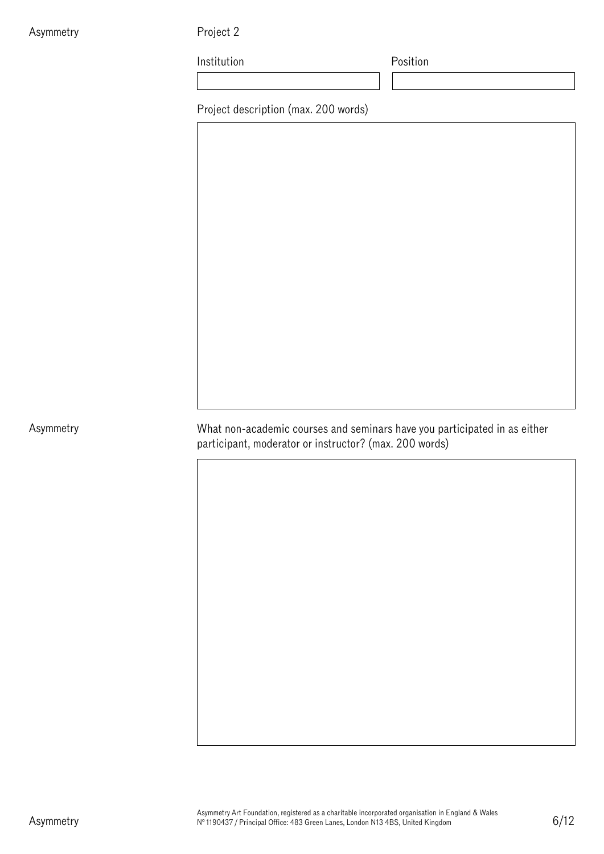Project 2

Institution **Position** 

Project description (max. 200 words)

What non-academic courses and seminars have you participated in as either participant, moderator or instructor? (max. 200 words)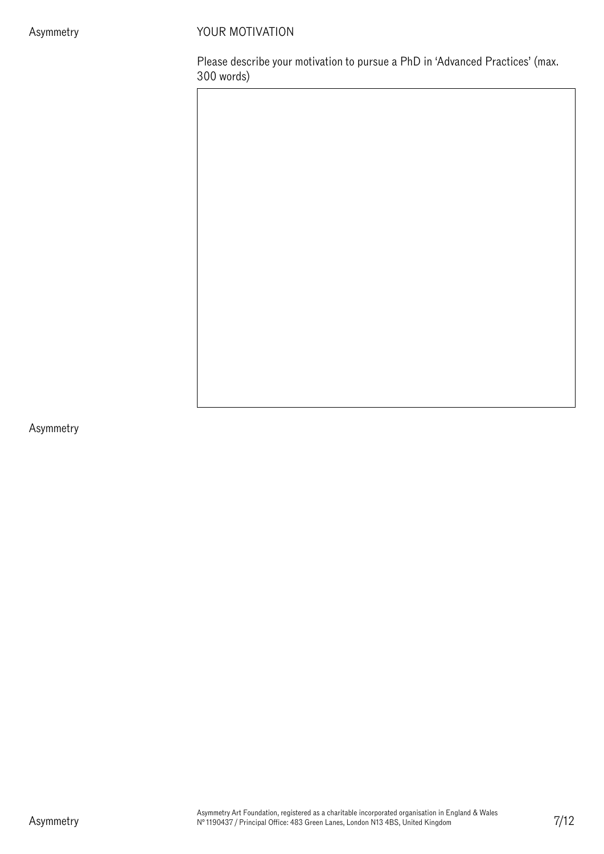# YOUR MOTIVATION

Please describe your motivation to pursue a PhD in 'Advanced Practices' (max. 300 words)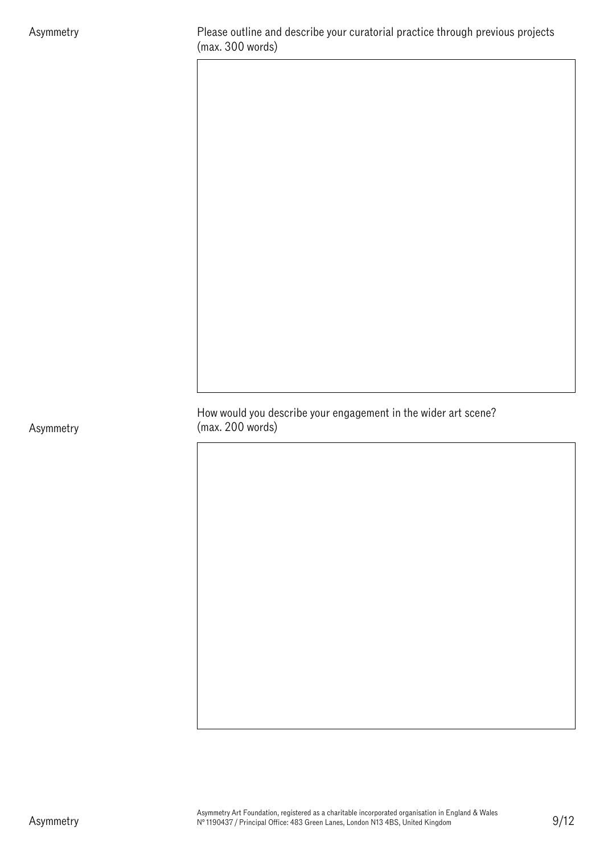How would you describe your engagement in the wider art scene? (max. 200 words)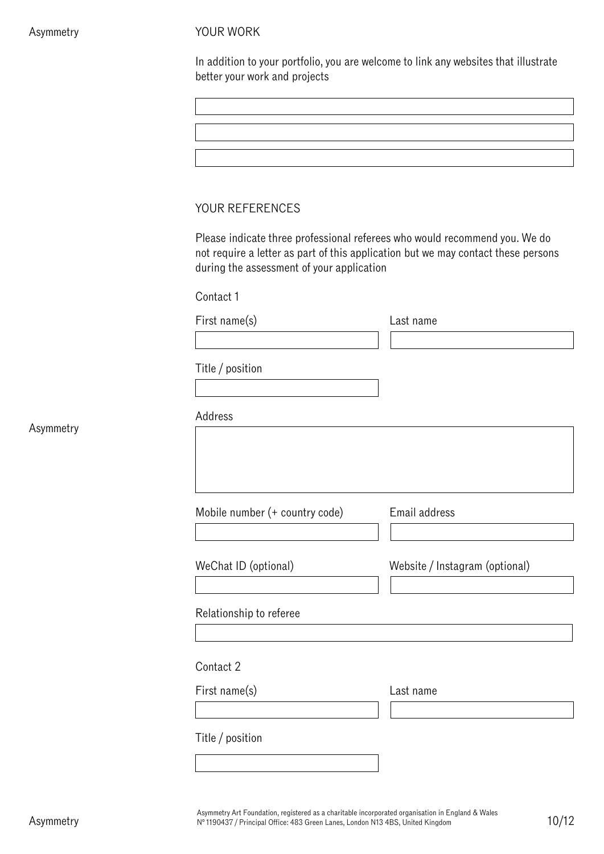#### YOUR WORK

| In addition to your portfolio, you are welcome to link any websites that illustrate |  |
|-------------------------------------------------------------------------------------|--|
| better your work and projects                                                       |  |

Please indicate three professional referees who would recommend you. We do not require a letter as part of this application but we may contact these persons during the assessment of your application

Contact 1

First name(s) Last name

Title / position

| Address                        |                                |
|--------------------------------|--------------------------------|
|                                |                                |
|                                |                                |
|                                |                                |
| Mobile number (+ country code) | Email address                  |
|                                |                                |
| WeChat ID (optional)           | Website / Instagram (optional) |
|                                |                                |
| Relationship to referee        |                                |
|                                |                                |
| Contact 2                      |                                |
| First name(s)                  | Last name                      |
|                                |                                |
| Title / position               |                                |
|                                |                                |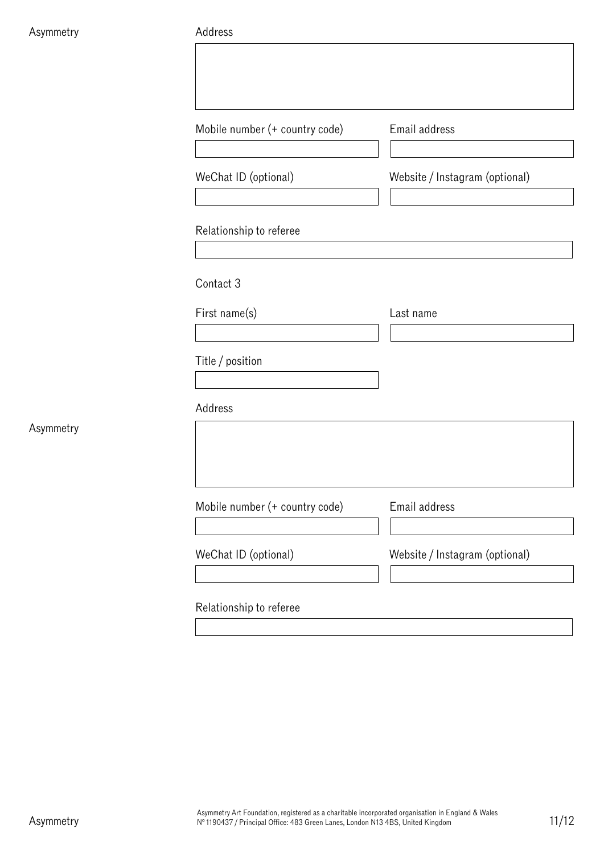#### Address

|           | Mobile number (+ country code) | Email address                  |
|-----------|--------------------------------|--------------------------------|
|           | WeChat ID (optional)           | Website / Instagram (optional) |
|           |                                |                                |
|           | Contact 3                      |                                |
|           | First name(s)                  | Last name                      |
|           | Title / position               |                                |
|           | Address                        |                                |
| Asymmetry |                                |                                |
|           | Mobile number (+ country code) | Email address                  |
|           | WeChat ID (optional)           | Website / Instagram (optional) |
|           | Relationship to referee        |                                |